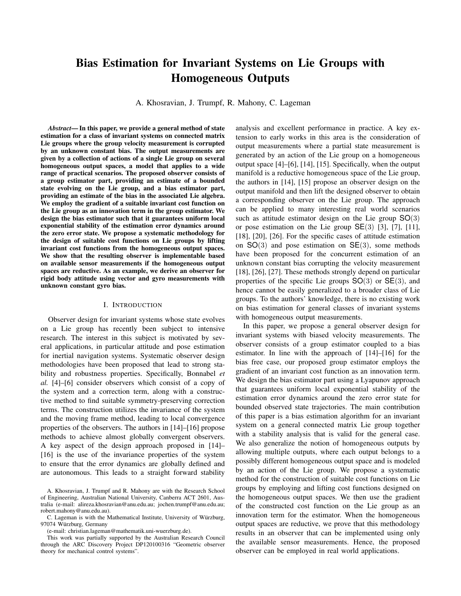# Bias Estimation for Invariant Systems on Lie Groups with Homogeneous Outputs

A. Khosravian, J. Trumpf, R. Mahony, C. Lageman

*Abstract*— In this paper, we provide a general method of state estimation for a class of invariant systems on connected matrix Lie groups where the group velocity measurement is corrupted by an unknown constant bias. The output measurements are given by a collection of actions of a single Lie group on several homogeneous output spaces, a model that applies to a wide range of practical scenarios. The proposed observer consists of a group estimator part, providing an estimate of a bounded state evolving on the Lie group, and a bias estimator part, providing an estimate of the bias in the associated Lie algebra. We employ the gradient of a suitable invariant cost function on the Lie group as an innovation term in the group estimator. We design the bias estimator such that it guarantees uniform local exponential stability of the estimation error dynamics around the zero error state. We propose a systematic methodology for the design of suitable cost functions on Lie groups by lifting invariant cost functions from the homogeneous output spaces. We show that the resulting observer is implementable based on available sensor measurements if the homogeneous output spaces are reductive. As an example, we derive an observer for rigid body attitude using vector and gyro measurements with unknown constant gyro bias.

#### I. INTRODUCTION

Observer design for invariant systems whose state evolves on a Lie group has recently been subject to intensive research. The interest in this subject is motivated by several applications, in particular attitude and pose estimation for inertial navigation systems. Systematic observer design methodologies have been proposed that lead to strong stability and robustness properties. Specifically, Bonnabel *et al.* [4]–[6] consider observers which consist of a copy of the system and a correction term, along with a constructive method to find suitable symmetry-preserving correction terms. The construction utilizes the invariance of the system and the moving frame method, leading to local convergence properties of the observers. The authors in [14]–[16] propose methods to achieve almost globally convergent observers. A key aspect of the design approach proposed in [14]– [16] is the use of the invariance properties of the system to ensure that the error dynamics are globally defined and are autonomous. This leads to a straight forward stability

(e-mail: christian.lageman@mathematik.uni-wuerzburg.de).

This work was partially supported by the Australian Research Council through the ARC Discovery Project DP120100316 "Geometric observer theory for mechanical control systems".

analysis and excellent performance in practice. A key extension to early works in this area is the consideration of output measurements where a partial state measurement is generated by an action of the Lie group on a homogeneous output space [4]–[6], [14], [15]. Specifically, when the output manifold is a reductive homogeneous space of the Lie group, the authors in [14], [15] propose an observer design on the output manifold and then lift the designed observer to obtain a corresponding observer on the Lie group. The approach can be applied to many interesting real world scenarios such as attitude estimator design on the Lie group  $SO(3)$ or pose estimation on the Lie group  $SE(3)$  [3], [7], [11], [18], [20], [26]. For the specific cases of attitude estimation on  $SO(3)$  and pose estimation on  $SE(3)$ , some methods have been proposed for the concurrent estimation of an unknown constant bias corrupting the velocity measurement [18], [26], [27]. These methods strongly depend on particular properties of the specific Lie groups  $SO(3)$  or  $SE(3)$ , and hence cannot be easily generalized to a broader class of Lie groups. To the authors' knowledge, there is no existing work on bias estimation for general classes of invariant systems with homogeneous output measurements.

In this paper, we propose a general observer design for invariant systems with biased velocity measurements. The observer consists of a group estimator coupled to a bias estimator. In line with the approach of [14]–[16] for the bias free case, our proposed group estimator employs the gradient of an invariant cost function as an innovation term. We design the bias estimator part using a Lyapunov approach that guarantees uniform local exponential stability of the estimation error dynamics around the zero error state for bounded observed state trajectories. The main contribution of this paper is a bias estimation algorithm for an invariant system on a general connected matrix Lie group together with a stability analysis that is valid for the general case. We also generalize the notion of homogeneous outputs by allowing multiple outputs, where each output belongs to a possibly different homogeneous output space and is modeled by an action of the Lie group. We propose a systematic method for the construction of suitable cost functions on Lie groups by employing and lifting cost functions designed on the homogeneous output spaces. We then use the gradient of the constructed cost function on the Lie group as an innovation term for the estimator. When the homogeneous output spaces are reductive, we prove that this methodology results in an observer that can be implemented using only the available sensor measurements. Hence, the proposed observer can be employed in real world applications.

A. Khosravian, J. Trumpf and R. Mahony are with the Research School of Engineering, Australian National University, Canberra ACT 2601, Australia (e-mail: alireza.khosravian@anu.edu.au; jochen.trumpf@anu.edu.au; robert.mahony@anu.edu.au).

C. Lageman is with the Mathematical Institute, University of Würzburg, 97074 Würzburg, Germany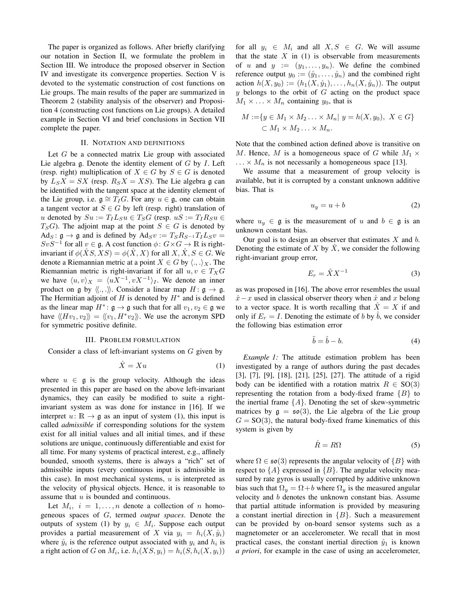The paper is organized as follows. After briefly clarifying our notation in Section II, we formulate the problem in Section III. We introduce the proposed observer in Section IV and investigate its convergence properties. Section V is devoted to the systematic construction of cost functions on Lie groups. The main results of the paper are summarized in Theorem 2 (stability analysis of the observer) and Proposition 4 (constructing cost functions on Lie groups). A detailed example in Section VI and brief conclusions in Section VII complete the paper.

#### II. NOTATION AND DEFINITIONS

Let  $G$  be a connected matrix Lie group with associated Lie algebra  $\mathfrak g$ . Denote the identity element of  $G$  by  $I$ . Left (resp. right) multiplication of  $X \in G$  by  $S \in G$  is denoted by  $L_S X = S X$  (resp.  $R_S X = X S$ ). The Lie algebra g can be identified with the tangent space at the identity element of the Lie group, i.e.  $\mathfrak{g} \cong T_I G$ . For any  $u \in \mathfrak{g}$ , one can obtain a tangent vector at  $S \in G$  by left (resp. right) translation of u denoted by  $Su := T_I L_S u \in T_S G$  (resp.  $uS := T_I R_S u \in$  $T_S$ G). The adjoint map at the point  $S \in G$  is denoted by Ad<sub>S</sub>:  $\mathfrak{g} \to \mathfrak{g}$  and is defined by Ad<sub>S</sub>v :=  $T_S R_{S^{-1}} T_I L_S v$  =  $SvS^{-1}$  for all  $v \in \mathfrak{g}$ . A cost function  $\phi: G \times G \to \mathbb{R}$  is rightinvariant if  $\phi(\hat{X}S,XS) = \phi(\hat{X},X)$  for all  $X, \hat{X}, S \in G$ . We denote a Riemannian metric at a point  $X \in G$  by  $\langle ., . \rangle_X$ . The Riemannian metric is right-invariant if for all  $u, v \in T_XG$ we have  $\langle u, v \rangle_X = \langle uX^{-1}, vX^{-1} \rangle_I$ . We denote an inner product on g by  $\langle\!\langle .,.\rangle\!\rangle$ . Consider a linear map  $H: \mathfrak{g} \to \mathfrak{g}$ . The Hermitian adjoint of  $H$  is denoted by  $H^*$  and is defined as the linear map  $H^*$ :  $\mathfrak{g} \to \mathfrak{g}$  such that for all  $v_1, v_2 \in \mathfrak{g}$  we have  $\langle Hv_1, v_2 \rangle = \langle v_1, H^*v_2 \rangle$ . We use the acronym SPD for symmetric positive definite.

# III. PROBLEM FORMULATION

Consider a class of left-invariant systems on  $G$  given by

$$
\dot{X} = Xu \tag{1}
$$

where  $u \in \mathfrak{g}$  is the group velocity. Although the ideas presented in this paper are based on the above left-invariant dynamics, they can easily be modified to suite a rightinvariant system as was done for instance in [16]. If we interpret  $u: \mathbb{R} \to \mathfrak{g}$  as an input of system (1), this input is called *admissible* if corresponding solutions for the system exist for all initial values and all initial times, and if these solutions are unique, continuously differentiable and exist for all time. For many systems of practical interest, e.g., affinely bounded, smooth systems, there is always a "rich" set of admissible inputs (every continuous input is admissible in this case). In most mechanical systems,  $u$  is interpreted as the velocity of physical objects. Hence, it is reasonable to assume that  $u$  is bounded and continuous.

Let  $M_i$ ,  $i = 1, ..., n$  denote a collection of n homogeneous spaces of G, termed *output spaces*. Denote the outputs of system (1) by  $y_i \in M_i$ . Suppose each output provides a partial measurement of X via  $y_i = h_i(X, \hat{y}_i)$ where  $\hat{y}_i$  is the reference output associated with  $y_i$  and  $h_i$  is a right action of G on  $M_i$ , i.e.  $h_i(XS, y_i) = h_i(S, h_i(X, y_i))$ 

for all  $y_i \in M_i$  and all  $X, S \in G$ . We will assume that the state  $X$  in (1) is observable from measurements of u and  $y := (y_1, \ldots, y_n)$ . We define the combined reference output  $y_0 := (\hat{y}_1, \dots, \hat{y}_n)$  and the combined right action  $h(X, y_0) := (h_1(X, \mathring{y}_1), \dots, h_n(X, \mathring{y}_n))$ . The output y belongs to the orbit of  $G$  acting on the product space  $M_1 \times \ldots \times M_n$  containing  $y_0$ , that is

$$
M := \{ y \in M_1 \times M_2 \dots \times M_n | y = h(X, y_0), X \in G \}
$$
  

$$
\subset M_1 \times M_2 \dots \times M_n.
$$

Note that the combined action defined above is transitive on M. Hence, M is a homogeneous space of G while  $M_1 \times$  $\ldots \times M_n$  is not necessarily a homogeneous space [13].

We assume that a measurement of group velocity is available, but it is corrupted by a constant unknown additive bias. That is

$$
u_y = u + b \tag{2}
$$

where  $u_y \in \mathfrak{g}$  is the measurement of u and  $b \in \mathfrak{g}$  is an unknown constant bias.

Our goal is to design an observer that estimates  $X$  and  $b$ . Denoting the estimate of X by  $\hat{X}$ , we consider the following right-invariant group error,

$$
E_r = \hat{X} X^{-1} \tag{3}
$$

as was proposed in [16]. The above error resembles the usual  $\hat{x}$ −x used in classical observer theory when  $\hat{x}$  and x belong to a vector space. It is worth recalling that  $\ddot{X} = X$  if and only if  $E_r = I$ . Denoting the estimate of b by b, we consider the following bias estimation error

$$
\tilde{b} = \hat{b} - b. \tag{4}
$$

*Example 1:* The attitude estimation problem has been investigated by a range of authors during the past decades [3], [7], [9], [18], [21], [25], [27]. The attitude of a rigid body can be identified with a rotation matrix  $R \in SO(3)$ representing the rotation from a body-fixed frame  ${B}$  to the inertial frame  $\{A\}$ . Denoting the set of skew-symmetric matrices by  $g = \mathfrak{so}(3)$ , the Lie algebra of the Lie group  $G = SO(3)$ , the natural body-fixed frame kinematics of this system is given by

$$
\dot{R} = R\Omega \tag{5}
$$

where  $\Omega \in \mathfrak{so}(3)$  represents the angular velocity of  $\{B\}$  with respect to  $\{A\}$  expressed in  $\{B\}$ . The angular velocity measured by rate gyros is usually corrupted by additive unknown bias such that  $\Omega_y = \Omega + b$  where  $\Omega_y$  is the measured angular velocity and b denotes the unknown constant bias. Assume that partial attitude information is provided by measuring a constant inertial direction in  ${B}$ . Such a measurement can be provided by on-board sensor systems such as a magnetometer or an accelerometer. We recall that in most practical cases, the constant inertial direction  $\hat{y}_1$  is known *a priori*, for example in the case of using an accelerometer,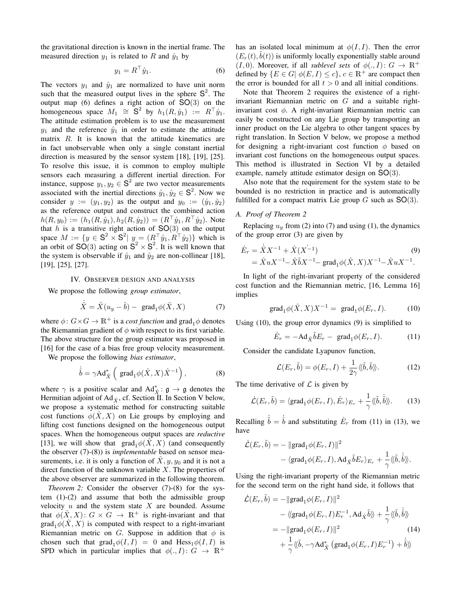the gravitational direction is known in the inertial frame. The measured direction  $y_1$  is related to R and  $\hat{y}_1$  by

$$
y_1 = R^\top \mathring{y}_1. \tag{6}
$$

The vectors  $y_1$  and  $\hat{y}_1$  are normalized to have unit norm such that the measured output lives in the sphere  $S^2$ . The output map  $(6)$  defines a right action of  $SO(3)$  on the homogeneous space  $M_1 \cong \mathbb{S}^2$  by  $h_1(R, \mathring{y}_1) := R^\top \mathring{y}_1$ . The attitude estimation problem is to use the measurement  $y_1$  and the reference  $\hat{y}_1$  in order to estimate the attitude matrix  $R$ . It is known that the attitude kinematics are in fact unobservable when only a single constant inertial direction is measured by the sensor system [18], [19], [25]. To resolve this issue, it is common to employ multiple sensors each measuring a different inertial direction. For instance, suppose  $y_1, y_2 \in S^2$  are two vector measurements associated with the inertial directions  $\hat{y}_1, \hat{y}_2 \in S^2$ . Now we consider  $y := (y_1, y_2)$  as the output and  $y_0 := (\hat{y}_1, \hat{y}_2)$ as the reference output and construct the combined action  $h(R, y_0) := (h_1(R, \mathring{y}_1), h_2(R, \mathring{y}_2)) = (R^\top \mathring{y}_1, R^\top \mathring{y}_2)$ . Note that h is a transitive right action of  $SO(3)$  on the output space  $M := \{y \in S^2 \times S^2 | y = (R^{\top} \hat{y}_1, R^{\top} \hat{y}_2) \}$  which is an orbit of  $SO(3)$  acting on  $S^2 \times S^2$ . It is well known that the system is observable if  $\hat{y}_1$  and  $\hat{y}_2$  are non-collinear [18], [19], [25], [27].

#### IV. OBSERVER DESIGN AND ANALYSIS

We propose the following *group estimator*,

$$
\dot{\hat{X}} = \hat{X}(u_y - \hat{b}) - \text{grad}_1 \phi(\hat{X}, X) \tag{7}
$$

where  $\phi$ :  $G \times G \to \mathbb{R}^+$  is a *cost function* and grad<sub>1</sub> $\phi$  denotes the Riemannian gradient of  $\phi$  with respect to its first variable. The above structure for the group estimator was proposed in [16] for the case of a bias free group velocity measurement.

We propose the following *bias estimator*,

$$
\dot{\hat{b}} = \gamma \text{Ad}_{\hat{X}}^* \left( \text{ grad}_1 \phi(\hat{X}, X) \hat{X}^{-1} \right), \tag{8}
$$

where  $\gamma$  is a positive scalar and Ad $^*_{\hat{X}}$ :  $\mathfrak{g} \to \mathfrak{g}$  denotes the Hermitian adjoint of Ad<sub> $\hat{x}$ </sub>, cf. Section II. In Section V below, we propose a systematic method for constructing suitable cost functions  $\phi(X, X)$  on Lie groups by employing and lifting cost functions designed on the homogeneous output spaces. When the homogeneous output spaces are *reductive* [13], we will show that grad<sub>1</sub> $\phi$ ( $\hat{X}$ ,  $X$ ) (and consequently the observer (7)-(8)) is *implementable* based on sensor measurements, i.e. it is only a function of  $\hat{X}, y, y_0$  and it is not a direct function of the unknown variable  $X$ . The properties of the above observer are summarized in the following theorem.

*Theorem 2:* Consider the observer (7)-(8) for the system (1)-(2) and assume that both the admissible group velocity  $u$  and the system state  $X$  are bounded. Assume that  $\phi(\hat{X}, X) : G \times G \to \mathbb{R}^+$  is right-invariant and that  $\text{grad}_1 \phi(X, X)$  is computed with respect to a right-invariant Riemannian metric on G. Suppose in addition that  $\phi$  is chosen such that grad<sub>1</sub> $\phi(I, I) = 0$  and Hess<sub>1</sub> $\phi(I, I)$  is SPD which in particular implies that  $\phi(., I): G \rightarrow \mathbb{R}^+$ 

has an isolated local minimum at  $\phi(I, I)$ . Then the error  $(E_r(t), \tilde{b}(t))$  is uniformly locally exponentially stable around  $(I, 0)$ . Moreover, if all *sublevel sets* of  $\phi(., I): G \to \mathbb{R}^+$ defined by  $\{E \in G | \phi(E, I) \leq c\}, c \in \mathbb{R}^+$  are compact then the error is bounded for all  $t > 0$  and all initial conditions.

Note that Theorem 2 requires the existence of a rightinvariant Riemannian metric on G and a suitable rightinvariant cost φ. A right-invariant Riemannian metric can easily be constructed on any Lie group by transporting an inner product on the Lie algebra to other tangent spaces by right translation. In Section V below, we propose a method for designing a right-invariant cost function  $\phi$  based on invariant cost functions on the homogeneous output spaces. This method is illustrated in Section VI by a detailed example, namely attitude estimator design on SO(3).

Also note that the requirement for the system state to be bounded is no restriction in practice and is automatically fulfilled for a compact matrix Lie group  $G$  such as  $SO(3)$ .

### *A. Proof of Theorem 2*

Replacing  $u_y$  from (2) into (7) and using (1), the dynamics of the group error (3) are given by

$$
\dot{E}_r = \dot{\hat{X}} X^{-1} + \hat{X} (X^{-1})
$$
\n
$$
= \hat{X} u X^{-1} - \hat{X} \tilde{b} X^{-1} - \text{grad}_1 \phi(\hat{X}, X) X^{-1} - \hat{X} u X^{-1}.
$$
\n(9)

In light of the right-invariant property of the considered cost function and the Riemannian metric, [16, Lemma 16] implies

$$
\text{grad}_1 \phi(\hat{X}, X) X^{-1} = \text{grad}_1 \phi(E_r, I). \tag{10}
$$

Using (10), the group error dynamics (9) is simplified to

$$
\dot{E}_r = -\mathbf{A} \mathbf{d}_{\hat{X}} \tilde{b} E_r - \text{grad}_1 \phi(E_r, I). \tag{11}
$$

Consider the candidate Lyapunov function,

$$
\mathcal{L}(E_r, \tilde{b}) = \phi(E_r, I) + \frac{1}{2\gamma} \langle \langle \tilde{b}, \tilde{b} \rangle \rangle.
$$
 (12)

The time derivative of  $\mathcal L$  is given by

$$
\dot{\mathcal{L}}(E_r, \tilde{b}) = \langle \text{grad}_1 \phi(E_r, I), \dot{E}_r \rangle_{E_r} + \frac{1}{\gamma} \langle \langle \tilde{b}, \dot{\tilde{b}} \rangle \rangle. \tag{13}
$$

Recalling  $\dot{\tilde{b}} = \dot{\tilde{b}}$  and substituting  $\dot{E}_r$  from (11) in (13), we have

$$
\dot{\mathcal{L}}(E_r, \tilde{b}) = - ||\text{grad}_1 \phi(E_r, I)||^2
$$
  
 
$$
- \langle \text{grad}_1 \phi(E_r, I), \text{Ad}_{\hat{X}} \tilde{b} E_r \rangle_{E_r} + \frac{1}{\gamma} \langle \langle \tilde{b}, \dot{\tilde{b}} \rangle \rangle.
$$

Using the right-invariant property of the Riemannian metric for the second term on the right hand side, it follows that

$$
\dot{\mathcal{L}}(E_r, \tilde{b}) = -\|\text{grad}_1 \phi(E_r, I)\|^2
$$
  
\n
$$
-\langle \text{grad}_1 \phi(E_r, I) E_r^{-1}, \text{Ad}_{\hat{X}} \tilde{b} \rangle \rangle + \frac{1}{\gamma} \langle \langle \tilde{b}, \dot{\tilde{b}} \rangle \rangle
$$
  
\n
$$
= -\|\text{grad}_1 \phi(E_r, I)\|^2
$$
(14)  
\n
$$
+ \frac{1}{\gamma} \langle \langle \tilde{b}, -\gamma \text{Ad}_{\hat{X}}^* (\text{grad}_1 \phi(E_r, I) E_r^{-1}) + \dot{\tilde{b}} \rangle \rangle
$$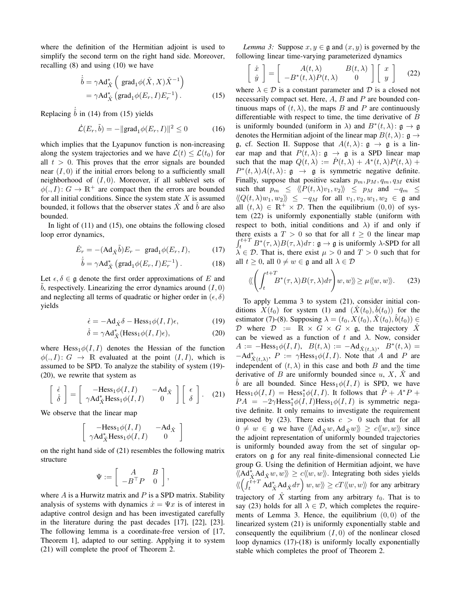where the definition of the Hermitian adjoint is used to simplify the second term on the right hand side. Moreover, recalling (8) and using (10) we have

$$
\dot{\hat{b}} = \gamma \mathbf{A} \mathbf{d}_{\hat{X}}^* \left( \text{grad}_1 \phi(\hat{X}, X) \hat{X}^{-1} \right)
$$
  
=  $\gamma \mathbf{A} \mathbf{d}_{\hat{X}}^* \left( \text{grad}_1 \phi(E_r, I) E_r^{-1} \right).$  (15)

Replacing  $\hat{b}$  in (14) from (15) yields

$$
\dot{\mathcal{L}}(E_r, \tilde{b}) = -\|\text{grad}_1 \phi(E_r, I)\|^2 \le 0 \tag{16}
$$

which implies that the Lyapunov function is non-increasing along the system trajectories and we have  $\mathcal{L}(t) \leq \mathcal{L}(t_0)$  for all  $t > 0$ . This proves that the error signals are bounded near  $(I, 0)$  if the initial errors belong to a sufficiently small neighborhood of  $(I, 0)$ . Moreover, if all sublevel sets of  $\phi(., I): G \to \mathbb{R}^+$  are compact then the errors are bounded for all initial conditions. Since the system state  $X$  is assumed bounded, it follows that the observer states  $\hat{X}$  and  $\hat{b}$  are also bounded.

In light of (11) and (15), one obtains the following closed loop error dynamics,

$$
\dot{E}_r = -(\text{Ad}_{\hat{X}}\tilde{b})E_r - \text{grad}_1\phi(E_r, I), \qquad (17)
$$

$$
\dot{\tilde{b}} = \gamma \text{Ad}_{\hat{X}}^* \left( \text{grad}_1 \phi(E_r, I) E_r^{-1} \right). \tag{18}
$$

Let  $\epsilon, \delta \in \mathfrak{g}$  denote the first order approximations of E and b, respectively. Linearizing the error dynamics around  $(I, 0)$ and neglecting all terms of quadratic or higher order in  $(\epsilon, \delta)$ yields

$$
\dot{\epsilon} = -\mathrm{Ad}_{\hat{X}} \delta - \mathrm{Hess}_1 \phi(I, I)\epsilon,\tag{19}
$$

$$
\dot{\delta} = \gamma \text{Ad}^*_{\hat{X}}(\text{Hess}_1 \phi(I, I)\epsilon),\tag{20}
$$

where  $Hess_1 \phi(I, I)$  denotes the Hessian of the function  $\phi(., I): G \to \mathbb{R}$  evaluated at the point  $(I, I)$ , which is assumed to be SPD. To analyze the stability of system (19)- (20), we rewrite that system as

$$
\begin{bmatrix} \dot{\epsilon} \\ \dot{\delta} \end{bmatrix} = \begin{bmatrix} -\text{Hess}_{1}\phi(I,I) & -\text{Ad}_{\hat{X}} \\ \gamma \text{Ad}_{\hat{X}}^{*} \text{Hess}_{1}\phi(I,I) & 0 \end{bmatrix} \begin{bmatrix} \epsilon \\ \delta \end{bmatrix}.
$$
 (21)

We observe that the linear map

$$
\begin{bmatrix}\n-\text{Hess}_1\phi(I,I) & -\text{Ad}_{\hat{X}} \\
\gamma\text{Ad}_{\hat{X}}^*\text{Hess}_1\phi(I,I) & 0\n\end{bmatrix}
$$

on the right hand side of (21) resembles the following matrix structure

$$
\Psi:=\left[\begin{array}{cc} A&B\\ -B^\top P&0\end{array}\right],
$$

where  $A$  is a Hurwitz matrix and  $P$  is a SPD matrix. Stability analysis of systems with dynamics  $\dot{x} = \Psi x$  is of interest in adaptive control design and has been investigated carefully in the literature during the past decades [17], [22], [23]. The following lemma is a coordinate-free version of [17, Theorem 1], adapted to our setting. Applying it to system (21) will complete the proof of Theorem 2.

*Lemma 3:* Suppose  $x, y \in \mathfrak{g}$  and  $(x, y)$  is governed by the following linear time-varying parameterized dynamics

$$
\begin{bmatrix} \dot{x} \\ \dot{y} \end{bmatrix} = \begin{bmatrix} A(t,\lambda) & B(t,\lambda) \\ -B^*(t,\lambda)P(t,\lambda) & 0 \end{bmatrix} \begin{bmatrix} x \\ y \end{bmatrix}
$$
 (22)

where  $\lambda \in \mathcal{D}$  is a constant parameter and  $\mathcal{D}$  is a closed not necessarily compact set. Here, A, B and P are bounded continuous maps of  $(t, \lambda)$ , the maps B and P are continuously differentiable with respect to time, the time derivative of B is uniformly bounded (uniform in  $\lambda$ ) and  $B^*(t, \lambda)$ :  $\mathfrak{g} \to \mathfrak{g}$ denotes the Hermitian adjoint of the linear map  $B(t, \lambda)$ :  $\mathfrak{g} \rightarrow$ g, cf. Section II. Suppose that  $A(t, \lambda)$ :  $g \rightarrow g$  is a linear map and that  $P(t, \lambda)$ :  $\mathfrak{g} \rightarrow \mathfrak{g}$  is a SPD linear map such that the map  $Q(t, \lambda) := \dot{P}(t, \lambda) + A^*(t, \lambda)P(t, \lambda) +$  $P^*(t, \lambda)A(t, \lambda): \mathfrak{g} \rightarrow \mathfrak{g}$  is symmetric negative definite. Finally, suppose that positive scalars  $p_m, p_M, q_m, q_M$  exist such that  $p_m \leq \langle P(t, \lambda)v_1, v_2 \rangle \leq p_M$  and  $-q_m \leq$  $\langle \langle Q(t, \lambda)w_1, w_2 \rangle \rangle \le -q_M$  for all  $v_1, v_2, w_1, w_2 \in \mathfrak{g}$  and all  $(t, \lambda) \in \mathbb{R}^+ \times \mathcal{D}$ . Then the equilibrium  $(0, 0)$  of system (22) is uniformly exponentially stable (uniform with respect to both, initial conditions and  $\lambda$ ) if and only if there exists a  $T > 0$  so that for all  $t \geq 0$  the linear map  $\int_{t}^{t+T} B^*(\tau,\lambda)B(\tau,\lambda)d\tau: \mathfrak{g} \to \mathfrak{g}$  is uniformly  $\lambda$ -SPD for all  $\lambda \in \mathcal{D}$ . That is, there exist  $\mu > 0$  and  $T > 0$  such that for all  $t \geq 0$ , all  $0 \neq w \in \mathfrak{g}$  and all  $\lambda \in \mathcal{D}$ 

$$
\langle \langle \left( \int_{t}^{t+T} B^*(\tau, \lambda) B(\tau, \lambda) d\tau \right) w, w \rangle \rangle \ge \mu \langle \langle w, w \rangle \rangle. \tag{23}
$$

To apply Lemma 3 to system (21), consider initial conditions  $X(t_0)$  for system (1) and  $(\hat{X}(t_0), \hat{b}(t_0))$  for the estimator (7)-(8). Supposing  $\lambda = (t_0, X(t_0), \hat{X}(t_0), \hat{b}(t_0)) \in$ D where  $D := \mathbb{R} \times G \times G \times \mathfrak{g}$ , the trajectory  $\hat{X}$ can be viewed as a function of t and  $\lambda$ . Now, consider  $A := -\text{Hess}_1 \phi(I, I), B(t, \lambda) := -\text{Ad}_{\hat{X}(t, \lambda)}, B^*(t, \lambda) =$  $-Ad^*_{\hat{X}(t,\lambda)}, P := \gamma Hess_1\phi(I,I)$ . Note that A and P are independent of  $(t, \lambda)$  in this case and both B and the time derivative of B are uniformly bounded since  $u, X, X$  and b are all bounded. Since  $Hess_1 \phi(I, I)$  is SPD, we have Hess<sub>1</sub> $\phi(I, I)$  = Hess<sup>\*</sup><sub>1</sub> $\phi(I, I)$ . It follows that  $\dot{P} + A^*P +$  $PA = -2\gamma \text{Hess}_{1}^{*} \phi(I,I) \text{Hess}_{1} \phi(I,I)$  is symmetric negative definite. It only remains to investigate the requirement imposed by (23). There exists  $c > 0$  such that for all  $0 \neq w \in \mathfrak{g}$  we have  $\langle \mathbb{A}d_{\hat{X}}w, \mathbb{A}d_{\hat{X}}w \rangle \geq c \langle \langle w, w \rangle \rangle$  since the adjoint representation of uniformly bounded trajectories is uniformly bounded away from the set of singular operators on g for any real finite-dimensional connected Lie group G. Using the definition of Hermitian adjoint, we have  $\langle \langle \mathbf{A} \mathbf{d}_{\hat{X}}^* \mathbf{A} \mathbf{d}_{\hat{X}} w, w \rangle \rangle \geq c \langle \langle w, w \rangle \rangle$ . Integrating both sides yields  $\langle \! \langle \left( \int_t^{\tilde{t}+T} \mathsf{Ad}_{\hat{X}}^* \mathsf{Ad}_{\hat{X}} d\tau \right) w, w \rangle \! \rangle \ge cT \langle \! \langle w, w \rangle \! \rangle$  for any arbitrary trajectory of  $\hat{X}$  starting from any arbitrary  $t_0$ . That is to say (23) holds for all  $\lambda \in \mathcal{D}$ , which completes the requirements of Lemma 3. Hence, the equilibrium  $(0, 0)$  of the linearized system (21) is uniformly exponentially stable and consequently the equilibrium  $(I, 0)$  of the nonlinear closed loop dynamics (17)-(18) is uniformly locally exponentially stable which completes the proof of Theorem 2.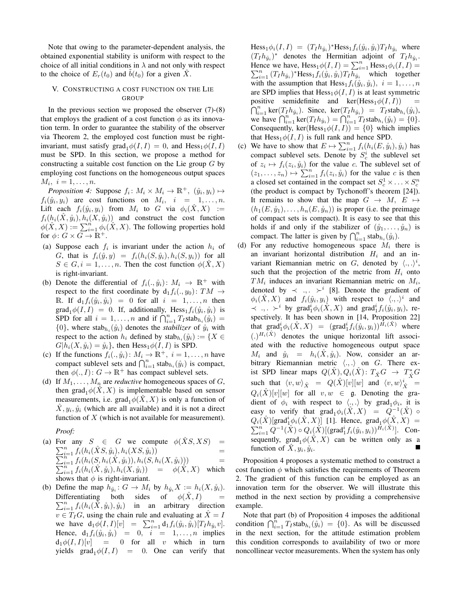Note that owing to the parameter-dependent analysis, the obtained exponential stability is uniform with respect to the choice of all initial conditions in  $\lambda$  and not only with respect to the choice of  $E_r(t_0)$  and  $\tilde{b}(t_0)$  for a given  $\tilde{X}$ .

# V. CONSTRUCTING A COST FUNCTION ON THE LIE GROUP

In the previous section we proposed the observer  $(7)-(8)$ that employs the gradient of a cost function  $\phi$  as its innovation term. In order to guarantee the stability of the observer via Theorem 2, the employed cost function must be rightinvariant, must satisfy grad<sub>1</sub> $\phi(I, I) = 0$ , and Hess<sub>1</sub> $\phi(I, I)$ must be SPD. In this section, we propose a method for constructing a suitable cost function on the Lie group  $G$  by employing cost functions on the homogeneous output spaces  $M_i, i = 1, \ldots, n.$ 

*Proposition 4:* Suppose  $f_i: M_i \times M_i \to \mathbb{R}^+$ ,  $(\hat{y}_i, y_i) \mapsto$  $f_i(\hat{y}_i, y_i)$  are cost functions on  $M_i$ ,  $i = 1, \ldots, n$ . Lift each  $f_i(\hat{y}_i, y_i)$  from  $M_i$  to G via  $\phi_i(\hat{X}, X)$  :=  $f_i(h_i(X, \hat{y}_i), h_i(X, \hat{y}_i))$  and construct the cost function  $\phi(X, X) := \sum_{i=1}^{n} \phi_i(X, X)$ . The following properties hold for  $\phi: G \times G \to \mathbb{R}^+$ .

- (a) Suppose each  $f_i$  is invariant under the action  $h_i$  of G, that is  $f_i(\hat{y}, y) = f_i(h_i(S, \hat{y}_i), h_i(S, y_i))$  for all  $S \in G, i = 1, \ldots, n$ . Then the cost function  $\phi(\hat{X}, X)$ is right-invariant.
- (b) Denote the differential of  $f_i(.,\hat{y}_i): M_i \rightarrow \mathbb{R}^+$  with respect to the first coordinate by  $d_1f_i(.,y_0): TM \rightarrow$ R. If  $d_1 f_i(\hat{y}_i, \hat{y}_i) = 0$  for all  $i = 1, \ldots, n$  then  $\text{grad}_1 \phi(I,I) = 0$ . If, additionally,  $\text{Hess}_1 f_i(\hat{y}_i, \hat{y}_i)$  is SPD for all  $i = 1, ..., n$  and if  $\bigcap_{i=1}^{n} T_I \text{stab}_{h_i}(\mathring{y}_i) =$  $\{0\}$ , where stab<sub>h<sub>i</sub></sub> $(\mathring{y}_i)$  denotes the *stabilizer* of  $\mathring{y}_i$  with respect to the action  $h_i$  defined by  $\operatorname{stab}_{h_i}(\mathring{y}_i) := \{ X \in$  $G|h_i(X, \mathring{y}_i) = \mathring{y}_i\},$  then  $Hess_1\phi(I, I)$  is SPD.
- (c) If the functions  $f_i(.,\mathring{y}_i): M_i \to \mathbb{R}^+, i = 1,\ldots,n$  have compact sublevel sets and  $\bigcap_{i=1}^n \operatorname{stab}_{h_i}(\hat{y}_i)$  is compact, then  $\phi(., I): G \to \mathbb{R}^+$  has compact sublevel sets.
- (d) If  $M_1, \ldots, M_n$  are *reductive* homogeneous spaces of  $G$ , then grad<sub>1</sub> $\phi$ ( $\hat{X}$ ,  $X$ ) is implementable based on sensor measurements, i.e. grad<sub>1</sub> $\phi(\hat{X}, X)$  is only a function of  $\hat{X}, y_i, \hat{y}_i$  (which are all available) and it is not a direct function of  $X$  (which is not available for measurement).

## *Proof:*

- (a) For any  $S \in G$  we compute  $\phi(XS,XS)$ P  $\begin{array}{rcl} \n\text{r} & \text{any} & S \in G \text{ we compute } \phi(XS,XS) = \frac{n}{i=1} f_i(h_i(\hat{X}S, \hat{y}_i), h_i(XS, \hat{y}_i)) & = \end{array}$ P  $\begin{array}{lll} \sum\limits_{i=1}^n \widetilde{f}_i(h_i(\hat{X}S,\mathring{y}_i), h_i(XS,\mathring{y}_i)) \ & = \ \sum\limits_{i=1}^n \widetilde{f}_i(h_i(S,h_i(\hat{X},\mathring{y}_i)), h_i(S,h_i(X,\mathring{y}_i))) \ & = \ \end{array}$  $\sum$  $\begin{array}{l} \sum\limits_{i=1}^{n-1}f_{i}(h_{i}(S, h_{i}(\hat{X},\mathring{y}_{i})), h_{i}(S, h_{i}(X, \mathring{y}_{i}))) \ = \sum\limits_{i=1}^{n}f_{i}(h_{i}(\hat{X}, \mathring{y}_{i}), h_{i}(X, \mathring{y}_{i})) \ = \ \ \ \phi(\hat{X},X) \quad \text{which} \end{array}$ shows that  $\phi$  is right-invariant.
- (b) Define the map  $h_{\hat{y}_i}: G \to M_i$  by  $h_{\hat{y}_i} X := h_i(X, \hat{y}_i)$ . Differentiating both sides of  $\phi(\hat{X}, I)$  $\sum_{i=1}^{n} f_i(h_i(\tilde{X}, \mathring{y}_i), \mathring{y}_i)$  in an arbitrary direction  $)$  =  $v \in T_I G$ , using the chain rule and evaluating at  $\ddot{X} = I$ we have  $d_1 \phi(I,I)[v] = \sum_{i=1}^n d_1 f_i(\mathring{y}_i, \mathring{y}_i)[T_I h_{\mathring{y}_i} v].$ Hence,  $d_1 f_i(\mathring{y}_i, \mathring{y}_i) = 0, \quad i = 1, \ldots, n$  implies  $d_1\phi(I,I)[v] = 0$  for all v which in turn yields grad<sub>1</sub> $\phi(I, I)$  = 0. One can verify that

 $Hess_1\phi_i(I, I) = (T_I h_{\hat{y}_i})^* Hess_1 f_i(\hat{y}_i, \hat{y}_i) T_I h_{\hat{y}_i}$  where  $(T_I h_{\hat{y}_i})^*$  denotes the Hermitian adjoint of  $T_I h_{\hat{y}_i}$ . Hence we have,  $Hess_1\phi(I,I) = \sum_{i=1}^n Hess_1\phi_i(I,I) =$  $\sum_{i=1}^{n} (T_I h_{\hat{y}_i})^*$ Hess $_1 f_i(\hat{y}_i, \hat{y}_i) T_I h_{\hat{y}_i}$  which together with the assumption that  $Hess_1 f_i(\mathring{y}_i, \mathring{y}_i), i = 1, \dots, n$ are SPD implies that  $Hess_1\phi(I, I)$  is at least symmetric positive semidefinite and  $\ker(\text{Hess}_1\phi(I, I))$  $\bigcap_{i=1}^n \text{ker}(T_I h_{\hat{y}_i})$ . Since,  $\text{ker}(T_I h_{\hat{y}_i}) = T_I \text{stab}_{h_i}(\hat{y}_i)$ , we have  $\bigcap_{i=1}^n \ker(T_I h_{\hat{y}_i}) = \bigcap_{i=1}^n T_I \operatorname{stab}_{h_i}(\hat{y}_i) = \{0\}.$ Consequently,  $\text{ker}(\text{Hess}_1 \phi(I, I)) = \{0\}$  which implies that  $Hess_1\phi(I, I)$  is full rank and hence SPD.

- (c) We have to show that  $E \mapsto \sum_{i=1}^n f_i(h_i(E, \hat{y}_i), \hat{y}_i)$  has compact sublevel sets. Denote by  $S_c^i$  the sublevel set of  $z_i \mapsto f_i(z_i, \hat{y}_i)$  for the value c. The sublevel set of  $(z_1, \ldots, z_n) \mapsto \sum_{i=1}^n f_i(z_i, \mathring{y}_i)$  for the value c is then a closed set contained in the compact set  $S_c^1 \times \ldots \times S_c^n$ (the product is compact by Tychonoff's theorem [24]). It remains to show that the map  $G \to M$ ,  $E \mapsto$  $(h_1(E, \hat{y}_1), \ldots, h_n(E, \hat{y}_n))$  is proper (i.e. the preimage of compact sets is compact). It is easy to see that this holds if and only if the stabilizer of  $(\hat{y}_1, \dots, \hat{y}_n)$  is compact. The latter is given by  $\bigcap_{i=1}^n \text{stab}_{h_i}(\hat{y}_i)$ .
- (d) For any reductive homogeneous space  $M_i$  there is an invariant horizontal distribution  $H_i$  and an invariant Riemannian metric on G, denoted by  $\langle ., . \rangle^i$ , such that the projection of the metric from  $H_i$  onto  $TM_i$  induces an invariant Riemannian metric on  $M_i$ , denoted by  $\prec$  ...  $\succ^i$  [8]. Denote the gradient of  $\phi_i(\hat{X}, X)$  and  $f_i(\hat{y}_i, y_i)$  with respect to  $\langle ., . \rangle^i$  and  $\prec$  ...  $\succ^i$  by grad $\check{i} \phi_i(\hat{X}, X)$  and grad $i_f^if_i(\hat{y}_i, y_i)$ , respectively. It has been shown in [14, Proposition 22] that  $\text{grad}_1^i \phi_i(\hat{X}, X) = (\text{grad}_1^i f_i(\hat{y}_i, y_i))^{\hat{H}_i(\hat{X})}$  where  $(.)^{H_i(\hat{X})}$  denotes the unique horizontal lift associated with the reductive homogeneous output space  $M_i$  and  $\hat{y}_i = h_i(X, \hat{y}_i)$ . Now, consider an arbitrary Riemannian metric  $\langle ., . \rangle$  on G. There exist SPD linear maps  $Q(\hat{X}), Q_i(\hat{X})$ :  $T_{\hat{X}}G \rightarrow T_{\hat{X}}^*G$ such that  $\langle v, w \rangle_{\hat{X}} = Q(\hat{X})[v][w]$  and  $\langle v, w \rangle_{\hat{X}}^{i} =$  $Q_i(\hat{X})[v][w]$  for all  $v, w \in \mathfrak{g}$ . Denoting the gradient of  $\phi_i$  with respect to  $\langle \cdot, \cdot \rangle$  by grad<sub>1</sub> $\phi_i$ , it is easy to verify that grad $_1\phi_i(\hat{X},X) = Q^{-1}(\hat{X})$  $Q_i(\hat{X})$ [grad $i \phi_i(\hat{X}, X)$ ] [1]. Hence, grad $_1 \phi(\hat{X}, X)$  =  $\sum_{i=1}^n Q^{-1}(\hat{X}) \circ Q_i(\hat{X})$ [(grad $_1^i f_i(\hat{y}_i, y_i)$ ) $\hat{H}_i(\hat{X})$ ]. Consequently, grad<sub>1</sub> $\phi(\hat{X}, X)$  can be written only as a function of  $\hat{X}, \hat{y}_i, \hat{y}_i$ .

Proposition 4 proposes a systematic method to construct a cost function  $\phi$  which satisfies the requirements of Theorem 2. The gradient of this function can be employed as an innovation term for the observer. We will illustrate this method in the next section by providing a comprehensive example.

Note that part (b) of Proposition 4 imposes the additional condition  $\bigcap_{i=1}^n T_I \text{stab}_{h_i}(\hat{y}_i) = \{0\}$ . As will be discussed in the next section, for the attitude estimation problem this condition corresponds to availability of two or more noncollinear vector measurements. When the system has only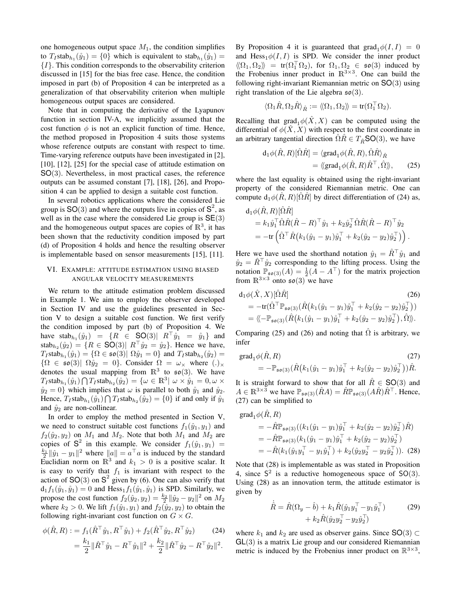one homogeneous output space  $M_1$ , the condition simplifies to  $T_I$ stab $h_1(\mathring{y}_1) = \{0\}$  which is equivalent to stab $h_1(\mathring{y}_1) =$  ${I}.$  This condition corresponds to the observability criterion discussed in [15] for the bias free case. Hence, the condition imposed in part (b) of Proposition 4 can be interpreted as a generalization of that observability criterion when multiple homogeneous output spaces are considered.

Note that in computing the derivative of the Lyapunov function in section IV-A, we implicitly assumed that the cost function  $\phi$  is not an explicit function of time. Hence, the method proposed in Proposition 4 suits those systems whose reference outputs are constant with respect to time. Time-varying reference outputs have been investigated in [2], [10], [12], [25] for the special case of attitude estimation on SO(3). Nevertheless, in most practical cases, the reference outputs can be assumed constant [7], [18], [26], and Proposition 4 can be applied to design a suitable cost function.

In several robotics applications where the considered Lie group is  $SO(3)$  and where the outputs live in copies of  $S^2$ , as well as in the case where the considered Lie group is  $SE(3)$ and the homogeneous output spaces are copies of  $\mathbb{R}^3$ , it has been shown that the reductivity condition imposed by part (d) of Proposition 4 holds and hence the resulting observer is implementable based on sensor measurements [15], [11].

# VI. EXAMPLE: ATTITUDE ESTIMATION USING BIASED ANGULAR VELOCITY MEASUREMENTS

We return to the attitude estimation problem discussed in Example 1. We aim to employ the observer developed in Section IV and use the guidelines presented in Section V to design a suitable cost function. We first verify the condition imposed by part (b) of Proposition 4. We have  $stab_{h_1}(\mathring{y}_1) = \{R \in SO(3) | R^{\top} \mathring{y}_1 = \mathring{y}_1\}$  and stab $h_2(\hat{y}_2) = \{R \in \mathsf{SO}(3) | R^{\top} \hat{y}_2 = \hat{y}_2\}.$  Hence we have,  $T_I$ stab $h_1(\mathring{y}_1) = \{ \Omega \in \mathfrak{so}(3) | \Omega \mathring{y}_1 = 0 \}$  and  $T_I$ stab $h_2(\mathring{y}_2) =$  $\{\Omega \in \mathfrak{so}(3) | \Omega_{y_2} = 0\}$ . Consider  $\Omega = \omega_{\times}$  where  $(.)_{\times}$ denotes the usual mapping from  $\mathbb{R}^3$  to  $\mathfrak{so}(3)$ . We have  $T_I$ stab $_{h_1}(\mathring{y}_1) \bigcap T_I$ stab $_{h_2}(\mathring{y}_2) = \{ \omega \in \mathbb{R}^3 \mid \omega \times \mathring{y}_1 = 0, \omega \times \mathring{y}_2 \}$  $\hat{y}_2 = 0$ } which implies that  $\omega$  is parallel to both  $\hat{y}_1$  and  $\hat{y}_2$ . Hence,  $T_I$ stab $_{h_1}(\mathring{y}_1) \bigcap T_I$ stab $_{h_2}(\mathring{y}_2) = \{0\}$  if and only if  $\mathring{y}_1$ and  $\hat{y}_2$  are non-collinear.

In order to employ the method presented in Section V, we need to construct suitable cost functions  $f_1(\hat{y}_1, y_1)$  and  $f_2(\hat{y}_2, y_2)$  on  $M_1$  and  $M_2$ . Note that both  $M_1$  and  $M_2$  are copies of  $S^2$  in this example. We consider  $f_1(\hat{y}_1, y_1) =$  $\frac{k_1}{2} ||\hat{y}_1 - y_1||^2$  where  $||a|| = a^\top a$  is induced by the standard Euclidian norm on  $\mathbb{R}^3$  and  $k_1 > 0$  is a positive scalar. It is easy to verify that  $f_1$  is invariant with respect to the action of  $SO(3)$  on  $S^2$  given by (6). One can also verify that  $d_1f_1(\hat{y}_1, \hat{y}_1) = 0$  and  $Hess_1f_1(\hat{y}_1, \hat{y}_1)$  is SPD. Similarly, we propose the cost function  $f_2(\hat{y}_2, y_2) = \frac{k_2}{2} ||\hat{y}_2 - y_2||^2$  on  $M_2$ where  $k_2 > 0$ . We lift  $f_1(\hat{y}_1, y_1)$  and  $f_2(\hat{y}_2, y_2)$  to obtain the following right-invariant cost function on  $G \times G$ .

$$
\phi(\hat{R}, R) := f_1(\hat{R}^\top \hat{y}_1, R^\top \hat{y}_1) + f_2(\hat{R}^\top \hat{y}_2, R^\top \hat{y}_2)
$$
(24)  
= 
$$
\frac{k_1}{2} ||\hat{R}^\top \hat{y}_1 - R^\top \hat{y}_1||^2 + \frac{k_2}{2} ||\hat{R}^\top \hat{y}_2 - R^\top \hat{y}_2||^2.
$$

By Proposition 4 it is guaranteed that grad<sub>1</sub> $\phi(I, I) = 0$ and Hess<sub>1</sub> $\phi(I, I)$  is SPD. We consider the inner product  $\langle\!\langle \Omega_1,\Omega_2 \rangle\!\rangle = \text{tr}(\Omega_1^\top \Omega_2)$ , for  $\Omega_1,\Omega_2 \in \mathfrak{so}(3)$  induced by the Frobenius inner product in  $\mathbb{R}^{3\times3}$ . One can build the following right-invariant Riemannian metric on  $SO(3)$  using right translation of the Lie algebra  $\mathfrak{so}(3)$ .

$$
\langle \Omega_1 \hat{R}, \Omega_2 \hat{R} \rangle_{\hat{R}} := \langle \! \langle \Omega_1, \Omega_2 \rangle \! \rangle = \text{tr}(\Omega_1^\top \Omega_2).
$$

Recalling that grad<sub>1</sub> $\phi(\hat{X}, X)$  can be computed using the differential of  $\phi(\hat{X}, X)$  with respect to the first coordinate in an arbitrary tangential direction  $\Omega \hat{R} \in T_{\hat{P}}$ SO(3), we have

$$
d_1 \phi(\hat{R}, R)[\hat{\Omega}\hat{R}] = \langle \text{grad}_1 \phi(\hat{R}, R), \hat{\Omega}\hat{R} \rangle_{\hat{R}}
$$
  
=  $\langle \langle \text{grad}_1 \phi(\hat{R}, R) \hat{R}^\top, \hat{\Omega} \rangle \rangle,$  (25)

where the last equality is obtained using the right-invariant property of the considered Riemannian metric. One can compute  $d_1\phi(\hat{R}, R)[\hat{\Omega}\hat{R}]$  by direct differentiation of (24) as,

 $d\Delta = 16\Delta R$ 

$$
d_1 \phi(R, R)[\Omega R] = k_1 \mathring{y}_1^\top \hat{\Omega} \hat{R} (\hat{R} - R)^\top \mathring{y}_1 + k_2 \mathring{y}_2^\top \hat{\Omega} \hat{R} (\hat{R} - R)^\top \mathring{y}_2 = -\text{tr} \left( \hat{\Omega}^\top \hat{R} (k_1(\hat{y}_1 - y_1) \mathring{y}_1^\top + k_2(\hat{y}_2 - y_2) \mathring{y}_2^\top) \right).
$$

Here we have used the shorthand notation  $\hat{y}_1 = \hat{R}^\top \hat{y}_1$  and  $\hat{y}_2 = \hat{R}^\top \hat{y}_2$  corresponding to the lifting process. Using the notation  $\mathbb{P}_{\mathfrak{so}(3)}(A) = \frac{1}{2}(A - A^{\top})$  for the matrix projection from  $\mathbb{R}^{3\times 3}$  onto  $\mathfrak{so}(3)$  we have

$$
d_1 \phi(\hat{X}, X) [\hat{\Omega} \hat{R}]
$$
\n
$$
= -\text{tr}(\hat{\Omega}^\top \mathbb{P}_{\mathfrak{so}(3)} (\hat{R}(k_1(\hat{y}_1 - y_1)\hat{y}_1^\top + k_2(\hat{y}_2 - y_2)\hat{y}_2^\top))
$$
\n
$$
= \langle \langle -\mathbb{P}_{\mathfrak{so}(3)} (\hat{R}(k_1(\hat{y}_1 - y_1)\hat{y}_1^\top + k_2(\hat{y}_2 - y_2)\hat{y}_2^\top), \hat{\Omega} \rangle \rangle.
$$
\n(26)

Comparing (25) and (26) and noting that  $\hat{\Omega}$  is arbitrary, we infer

grad<sub>1</sub>
$$
\phi(\hat{R}, R)
$$
 (27)  
=  $-\mathbb{P}_{\mathfrak{so}(3)}(\hat{R}(k_1(\hat{y}_1 - y_1)\hat{y}_1^{\top} + k_2(\hat{y}_2 - y_2)\hat{y}_2^{\top}))\hat{R}$ .

It is straight forward to show that for all  $\hat{R} \in SO(3)$  and  $A \in \mathbb{R}^{3 \times 3}$  we have  $\mathbb{P}_{\mathfrak{so}(3)}(\hat{R}A) = \hat{R}\mathbb{P}_{\mathfrak{so}(3)}(A\hat{R})\hat{R}^{\top}$ . Hence, (27) can be simplified to

grad<sub>1</sub>
$$
\phi(\hat{R}, R)
$$
  
\n
$$
= -\hat{R}\mathbb{P}_{\mathfrak{so}(3)}((k_1(\hat{y}_1 - y_1)\hat{y}_1^\top + k_2(\hat{y}_2 - y_2)\hat{y}_2^\top)\hat{R})
$$
\n
$$
= -\hat{R}\mathbb{P}_{\mathfrak{so}(3)}(k_1(\hat{y}_1 - y_1)\hat{y}_1^\top + k_2(\hat{y}_2 - y_2)\hat{y}_2^\top)
$$
\n
$$
= -\hat{R}(k_1(\hat{y}_1y_1^\top - y_1\hat{y}_1^\top) + k_2(\hat{y}_2y_2^\top - y_2\hat{y}_2^\top)).
$$
 (28)

Note that (28) is implementable as was stated in Proposition 4, since  $S^2$  is a reductive homogeneous space of  $SO(3)$ . Using (28) as an innovation term, the attitude estimator is given by

$$
\dot{\hat{R}} = \hat{R}(\Omega_y - \hat{b}) + k_1 \hat{R} (\hat{y}_1 y_1^\top - y_1 \hat{y}_1^\top) \n+ k_2 \hat{R} (\hat{y}_2 y_2^\top - y_2 \hat{y}_2^\top)
$$
\n(29)

where  $k_1$  and  $k_2$  are used as observer gains. Since SO(3) ⊂ GL(3) is a matrix Lie group and our considered Riemannian metric is induced by the Frobenius inner product on  $\mathbb{R}^{3\times3}$ ,